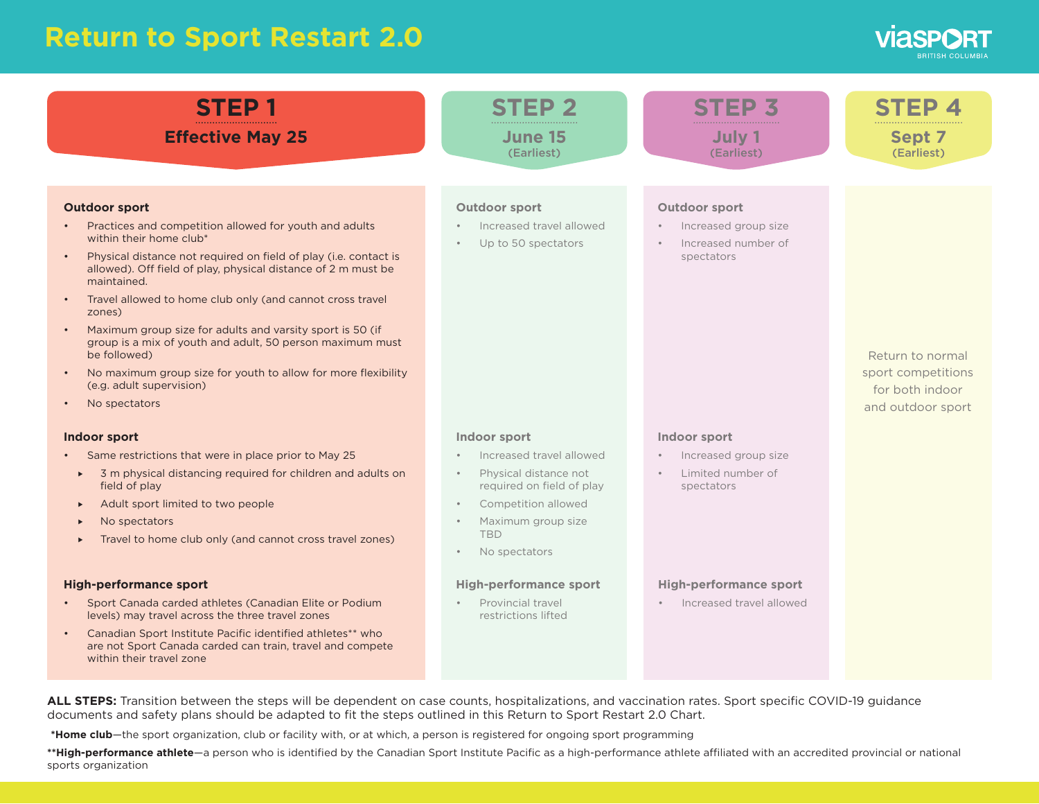## **Return to Sport Restart 2.0**

| <b>STEP1</b>                                                                                                                                                                                                                                                                                                                                                                                                                                                                                                                                                                                                                                                                                                                                                                                                                                                                                                                                                                                                                                                                                                                                                                                                                   | June 15                                                                                                                                                                                                                                                                                                                                                                                | July 1                                                                                                                                                                                                                      | <b>Sept 7</b>                                                                  |
|--------------------------------------------------------------------------------------------------------------------------------------------------------------------------------------------------------------------------------------------------------------------------------------------------------------------------------------------------------------------------------------------------------------------------------------------------------------------------------------------------------------------------------------------------------------------------------------------------------------------------------------------------------------------------------------------------------------------------------------------------------------------------------------------------------------------------------------------------------------------------------------------------------------------------------------------------------------------------------------------------------------------------------------------------------------------------------------------------------------------------------------------------------------------------------------------------------------------------------|----------------------------------------------------------------------------------------------------------------------------------------------------------------------------------------------------------------------------------------------------------------------------------------------------------------------------------------------------------------------------------------|-----------------------------------------------------------------------------------------------------------------------------------------------------------------------------------------------------------------------------|--------------------------------------------------------------------------------|
| <b>Effective May 25</b>                                                                                                                                                                                                                                                                                                                                                                                                                                                                                                                                                                                                                                                                                                                                                                                                                                                                                                                                                                                                                                                                                                                                                                                                        | (Earliest)                                                                                                                                                                                                                                                                                                                                                                             | (Earliest)                                                                                                                                                                                                                  | (Earliest)                                                                     |
| <b>Outdoor sport</b><br>Practices and competition allowed for youth and adults<br>within their home club*<br>Physical distance not required on field of play (i.e. contact is<br>allowed). Off field of play, physical distance of 2 m must be<br>maintained.<br>Travel allowed to home club only (and cannot cross travel<br>zones)<br>Maximum group size for adults and varsity sport is 50 (if<br>group is a mix of youth and adult, 50 person maximum must<br>be followed)<br>No maximum group size for youth to allow for more flexibility<br>(e.g. adult supervision)<br>No spectators<br>Indoor sport<br>Same restrictions that were in place prior to May 25<br>3 m physical distancing required for children and adults on<br>$\blacktriangleright$<br>field of play<br>Adult sport limited to two people<br>$\blacktriangleright$<br>No spectators<br>Travel to home club only (and cannot cross travel zones)<br><b>High-performance sport</b><br>Sport Canada carded athletes (Canadian Elite or Podium<br>levels) may travel across the three travel zones<br>Canadian Sport Institute Pacific identified athletes** who<br>are not Sport Canada carded can train, travel and compete<br>within their travel zone | <b>Outdoor sport</b><br>Increased travel allowed<br>Up to 50 spectators<br>Indoor sport<br>Increased travel allowed<br>Physical distance not<br>$\bullet$<br>required on field of play<br>Competition allowed<br>$\bullet$<br>Maximum group size<br><b>TRD</b><br>No spectators<br>$\bullet$<br><b>High-performance sport</b><br>Provincial travel<br>$\bullet$<br>restrictions lifted | <b>Outdoor sport</b><br>Increased group size<br>Increased number of<br>spectators<br>Indoor sport<br>Increased group size<br>Limited number of<br>spectators<br><b>High-performance sport</b><br>· Increased travel allowed | Return to normal<br>sport competitions<br>for both indoor<br>and outdoor sport |

documents and safety plans should be adapted to fit the steps outlined in this Return to Sport Restart 2.0 Chart.

**\*Home club**—the sport organization, club or facility with, or at which, a person is registered for ongoing sport programming

\*\*High-performance athlete—a person who is identified by the Canadian Sport Institute Pacific as a high-performance athlete affiliated with an accredited provincial or national sports organization